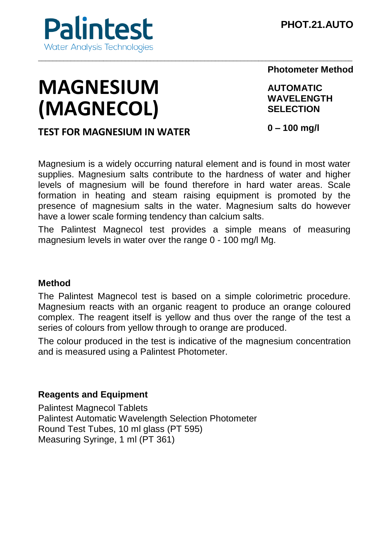

# **MAGNESIUM (MAGNECOL)**

**Photometer Method**

**AUTOMATIC WAVELENGTH SELECTION**

## **TEST FOR MAGNESIUM IN WATER**

**0 – 100 mg/l**

Magnesium is a widely occurring natural element and is found in most water supplies. Magnesium salts contribute to the hardness of water and higher levels of magnesium will be found therefore in hard water areas. Scale formation in heating and steam raising equipment is promoted by the presence of magnesium salts in the water. Magnesium salts do however have a lower scale forming tendency than calcium salts.

The Palintest Magnecol test provides a simple means of measuring magnesium levels in water over the range 0 - 100 mg/l Mg.

#### **Method**

The Palintest Magnecol test is based on a simple colorimetric procedure. Magnesium reacts with an organic reagent to produce an orange coloured complex. The reagent itself is yellow and thus over the range of the test a series of colours from yellow through to orange are produced.

The colour produced in the test is indicative of the magnesium concentration and is measured using a Palintest Photometer.

#### **Reagents and Equipment**

Palintest Magnecol Tablets Palintest Automatic Wavelength Selection Photometer Round Test Tubes, 10 ml glass (PT 595) Measuring Syringe, 1 ml (PT 361)